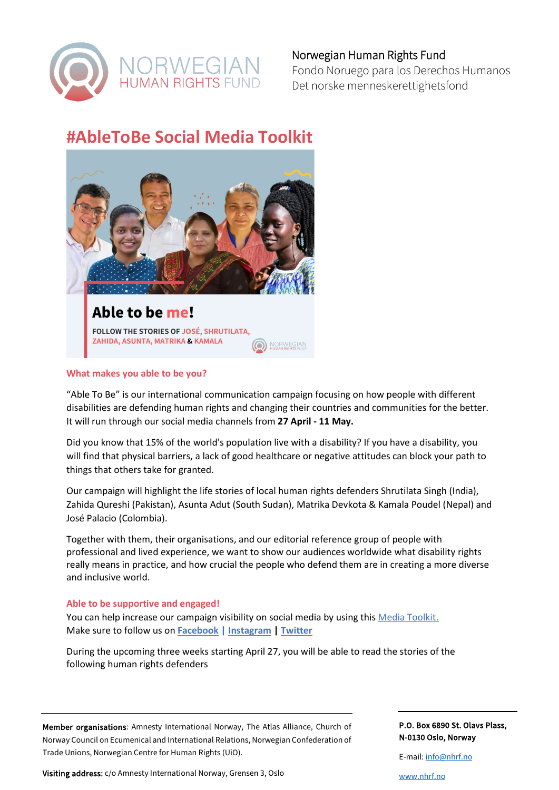

Fondo Noruego para los Derechos Humanos Det norske menneskerettighetsfond

# **#AbleToBe Social Media Toolkit**



#### **What makes you able to be you?**

"Able To Be" is our international communication campaign focusing on how people with different disabilities are defending human rights and changing their countries and communities for the better. It will run through our social media channels from **27 April - 11 May.**

Did you know that 15% of the world's population live with a disability? If you have a disability, you will find that physical barriers, a lack of good healthcare or negative attitudes can block your path to things that others take for granted.

Our campaign will highlight the life stories of local human rights defenders Shrutilata Singh (India), Zahida Qureshi (Pakistan), Asunta Adut (South Sudan), Matrika Devkota & Kamala Poudel (Nepal) and José Palacio (Colombia).

Together with them, their organisations, and our editorial reference group of people with professional and lived experience, we want to show our audiences worldwide what disability rights really means in practice, and how crucial the people who defend them are in creating a more diverse and inclusive world.

#### **Able to be supportive and engaged!**

You can help increase our campaign visibility on social media by using this [Media Toolkit.](https://drive.google.com/drive/folders/16lSbxHVk2L0bQv_Po5aI5XmwfdCS_xVA?usp=sharing) Make sure to follow us on **[Facebook](https://www.facebook.com/thenorwegianhumanrightsfund) | [Instagram](https://www.instagram.com/nhrf_hrd) | [Twitter](https://twitter.com/nhrf_hrd)**

During the upcoming three weeks starting April 27, you will be able to read the stories of the following human rights defenders

Member organisations: Amnesty International Norway, The Atlas Alliance, Church of Norway Council on Ecumenical and International Relations, Norwegian Confederation of Trade Unions, Norwegian Centre for Human Rights (UiO).

Visiting address: c/o Amnesty International Norway, Grensen 3, Oslo

P.O. Box 6890 St. Olavs Plass, N-0130 Oslo, Norway

E-mail[: info@nhrf.no](mailto:info@nhrf.no)

[www.nhrf.no](http://www.nhrf.no/)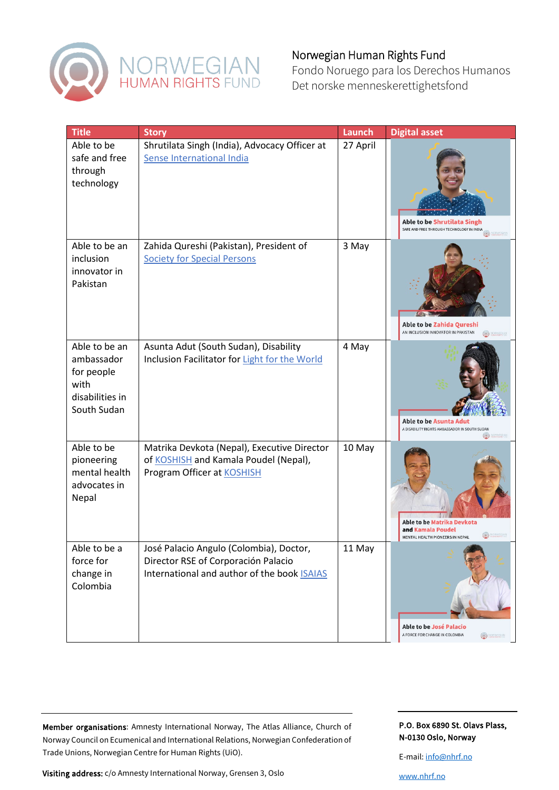

Fondo Noruego para los Derechos Humanos Det norske menneskerettighetsfond

| <b>Title</b>                                                                        | <b>Story</b>                                                                                                                         | Launch   | <b>Digital asset</b>                                                               |
|-------------------------------------------------------------------------------------|--------------------------------------------------------------------------------------------------------------------------------------|----------|------------------------------------------------------------------------------------|
| Able to be<br>safe and free<br>through<br>technology                                | Shrutilata Singh (India), Advocacy Officer at<br>Sense International India                                                           | 27 April | Able to be Shrutilata Singh<br>SAFE AND FREE THROUGH TECHNOLOGY IN INDIA           |
| Able to be an<br>inclusion<br>innovator in<br>Pakistan                              | Zahida Qureshi (Pakistan), President of<br><b>Society for Special Persons</b>                                                        | 3 May    | Able to be Zahida Qureshi<br>AN INCLUSION INNOVATOR IN PAKISTAN                    |
| Able to be an<br>ambassador<br>for people<br>with<br>disabilities in<br>South Sudan | Asunta Adut (South Sudan), Disability<br>Inclusion Facilitator for Light for the World                                               | 4 May    | <b>Able to be Asunta Adut</b><br>A DISABILITY RIGHTS AMBASSADOR IN SOUTH SUDAN     |
| Able to be<br>pioneering<br>mental health<br>advocates in<br>Nepal                  | Matrika Devkota (Nepal), Executive Director<br>of KOSHISH and Kamala Poudel (Nepal),<br>Program Officer at <b>KOSHISH</b>            | 10 May   | Able to be Matrika Devkota<br>and Kamala Poudel<br>MENTAL HEALTH PIONEERS IN NEPAL |
| Able to be a<br>force for<br>change in<br>Colombia                                  | José Palacio Angulo (Colombia), Doctor,<br>Director RSE of Corporación Palacio<br>International and author of the book <b>ISAIAS</b> | 11 May   | <b>Able to be José Palacio</b><br>A FORCE FOR CHANGE IN COLOMBIA<br>O MORALGIAN    |

Member organisations: Amnesty International Norway, The Atlas Alliance, Church of Norway Council on Ecumenical and International Relations, Norwegian Confederation of Trade Unions, Norwegian Centre for Human Rights (UiO).

Visiting address: c/o Amnesty International Norway, Grensen 3, Oslo

P.O. Box 6890 St. Olavs Plass, N-0130 Oslo, Norway

E-mail[: info@nhrf.no](mailto:info@nhrf.no)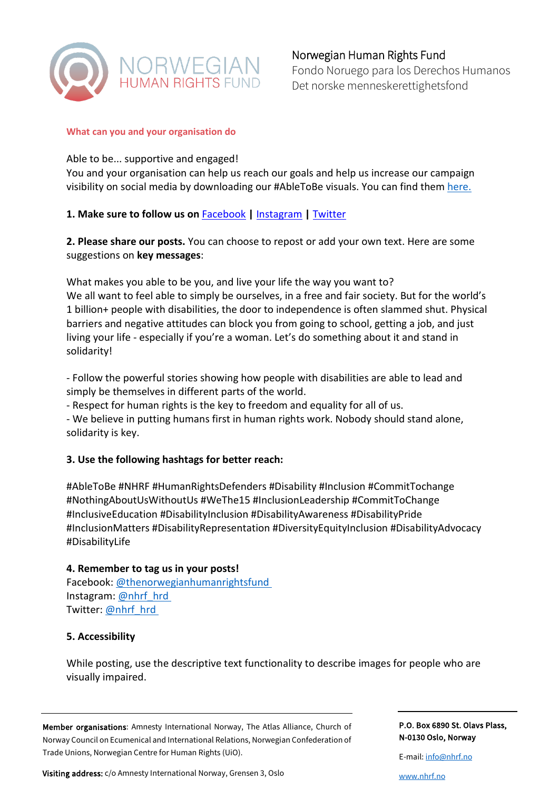

Fondo Noruego para los Derechos Humanos Det norske menneskerettighetsfond

#### **What can you and your organisation do**

### Able to be... supportive and engaged!

You and your organisation can help us reach our goals and help us increase our campaign visibility on social media by downloading our #AbleToBe visuals. You can find them [here.](https://drive.google.com/drive/folders/16lSbxHVk2L0bQv_Po5aI5XmwfdCS_xVA?usp=sharing)

## **[1. Make sure to follow us on](https://twitter.com/nhrf_hrd)** [Facebook](https://www.facebook.com/thenorwegianhumanrightsfund)**|** [Instagram](https://www.instagram.com/nhrf_hrd) **|** [Twitter](https://twitter.com/nhrf_hrd)

**2. Please share our posts.** You can choose to repost or add your own text. Here are some suggestions on **key messages**:

What makes you able to be you, and live your life the way you want to? We all want to feel able to simply be ourselves, in a free and fair society. But for the world's 1 billion+ people with disabilities, the door to independence is often slammed shut. Physical barriers and negative attitudes can block you from going to school, getting a job, and just living your life - especially if you're a woman. Let's do something about it and stand in solidarity!

- Follow the powerful stories showing how people with disabilities are able to lead and simply be themselves in different parts of the world.

- Respect for human rights is the key to freedom and equality for all of us.

- We believe in putting humans first in human rights work. Nobody should stand alone, solidarity is key.

## **3. Use the following hashtags for better reach:**

#AbleToBe #NHRF #HumanRightsDefenders #Disability #Inclusion #CommitTochange #NothingAboutUsWithoutUs #WeThe15 #InclusionLeadership #CommitToChange #InclusiveEducation #DisabilityInclusion #DisabilityAwareness #DisabilityPride #InclusionMatters #DisabilityRepresentation #DiversityEquityInclusion #DisabilityAdvocacy #DisabilityLife

### **4. Remember to tag us in your posts!**

Facebook: [@thenorwegianhumanrightsfund](https://www.facebook.com/thenorwegianhumanrightsfund) Instagram[: @nhrf\\_hrd](https://www.instagram.com/nhrf_hrd/) Twitter: [@nhrf\\_hrd](https://twitter.com/nhrf_hrd)

### **5. Accessibility**

While posting, use the descriptive text functionality to describe images for people who are visually impaired.

Member organisations: Amnesty International Norway, The Atlas Alliance, Church of Norway Council on Ecumenical and International Relations, Norwegian Confederation of Trade Unions, Norwegian Centre for Human Rights (UiO).

Visiting address: c/o Amnesty International Norway, Grensen 3, Oslo

P.O. Box 6890 St. Olavs Plass, N-0130 Oslo, Norway

E-mail[: info@nhrf.no](mailto:info@nhrf.no)

[www.nhrf.no](http://www.nhrf.no/)